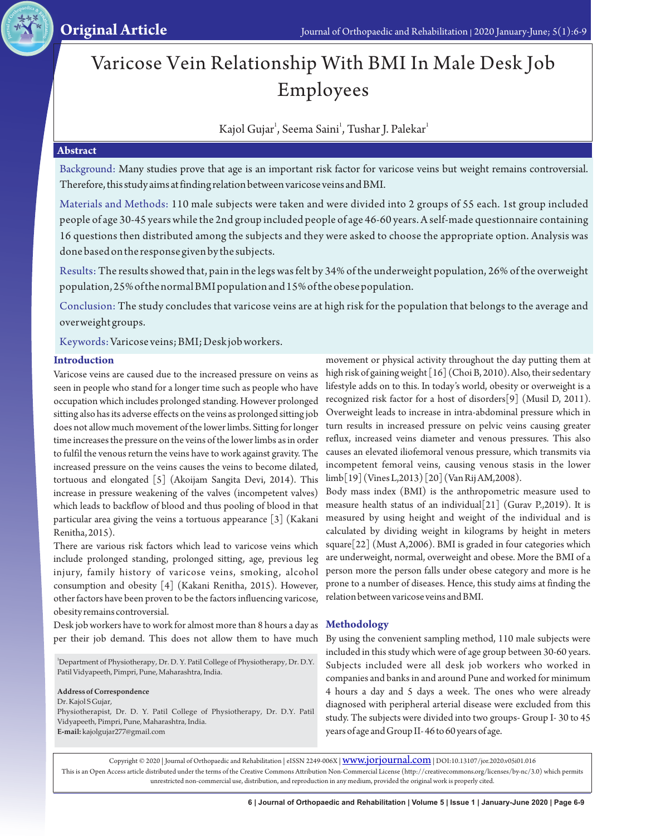

# Varicose Vein Relationship With BMI In Male Desk Job Employees

Kajol Gujar $^{\scriptscriptstyle 1}$ , Seema Saini $^{\scriptscriptstyle 1}$ , Tushar J. Palekar $^{\scriptscriptstyle 1}$ 

# **Abstract**

Background: Many studies prove that age is an important risk factor for varicose veins but weight remains controversial. Therefore, this study aims at finding relation between varicose veins and BMI.

Materials and Methods: 110 male subjects were taken and were divided into 2 groups of 55 each. 1st group included people of age 30-45 years while the 2nd group included people of age 46-60 years. A self-made questionnaire containing 16 questions then distributed among the subjects and they were asked to choose the appropriate option. Analysis was done based on the response given by the subjects.

Results: The results showed that, pain in the legs was felt by 34% of the underweight population, 26% of the overweight population, 25% of the normal BMI population and 15% of the obese population.

Conclusion: The study concludes that varicose veins are at high risk for the population that belongs to the average and overweight groups.

Keywords:Varicose veins; BMI; Desk job workers.

## **Introduction**

Varicose veins are caused due to the increased pressure on veins as seen in people who stand for a longer time such as people who have occupation which includes prolonged standing. However prolonged sitting also has its adverse effects on the veins as prolonged sitting job does not allow much movement of the lower limbs. Sitting for longer time increases the pressure on the veins of the lower limbs as in order to fulfil the venous return the veins have to work against gravity. The increased pressure on the veins causes the veins to become dilated, tortuous and elongated [5] (Akoijam Sangita Devi, 2014). This increase in pressure weakening of the valves (incompetent valves) which leads to backflow of blood and thus pooling of blood in that particular area giving the veins a tortuous appearance [3] (Kakani Renitha, 2015).

There are various risk factors which lead to varicose veins which include prolonged standing, prolonged sitting, age, previous leg injury, family history of varicose veins, smoking, alcohol consumption and obesity [4] (Kakani Renitha, 2015). However, other factors have been proven to be the factors influencing varicose, obesity remains controversial.

Desk job workers have to work for almost more than 8 hours a day as per their job demand. This does not allow them to have much

<sup>1</sup>Department of Physiotherapy, Dr. D. Y. Patil College of Physiotherapy, Dr. D.Y. Patil Vidyapeeth, Pimpri, Pune, Maharashtra, India.

**Address of Correspondence**

Dr. Kajol S Gujar, Physiotherapist, Dr. D. Y. Patil College of Physiotherapy, Dr. D.Y. Patil Vidyapeeth, Pimpri, Pune, Maharashtra, India. **E-mail:** kajolgujar277@gmail.com

movement or physical activity throughout the day putting them at high risk of gaining weight [16] (Choi B, 2010). Also, their sedentary lifestyle adds on to this. In today's world, obesity or overweight is a recognized risk factor for a host of disorders[9] (Musil D, 2011). Overweight leads to increase in intra-abdominal pressure which in turn results in increased pressure on pelvic veins causing greater reflux, increased veins diameter and venous pressures. This also causes an elevated iliofemoral venous pressure, which transmits via incompetent femoral veins, causing venous stasis in the lower limb[19] (Vines L,2013) [20] (Van Rij AM,2008).

Body mass index (BMI) is the anthropometric measure used to measure health status of an individual[21] (Gurav P.,2019). It is measured by using height and weight of the individual and is calculated by dividing weight in kilograms by height in meters square[22] (Must A,2006). BMI is graded in four categories which are underweight, normal, overweight and obese. More the BMI of a person more the person falls under obese category and more is he prone to a number of diseases. Hence, this study aims at finding the relation between varicose veins and BMI.

## **Methodology**

By using the convenient sampling method, 110 male subjects were included in this study which were of age group between 30-60 years. Subjects included were all desk job workers who worked in companies and banks in and around Pune and worked for minimum 4 hours a day and 5 days a week. The ones who were already diagnosed with peripheral arterial disease were excluded from this study. The subjects were divided into two groups- Group I- 30 to 45 years of age and Group II- 46 to 60 years of age.

Copyright © 2020 | Journal of Orthopaedic and Rehabilitation | eISSN 2249-006X | WWW.jOTjOUIT1al.COM | DOI:10.13107/jor.2020.v05i01.016 This is an Open Access article distributed under the terms of the Creative Commons Attribution Non-Commercial License (http://creativecommons.org/licenses/by-nc/3.0) which permits unrestricted non-commercial use, distribution, and reproduction in any medium, provided the original work is properly cited.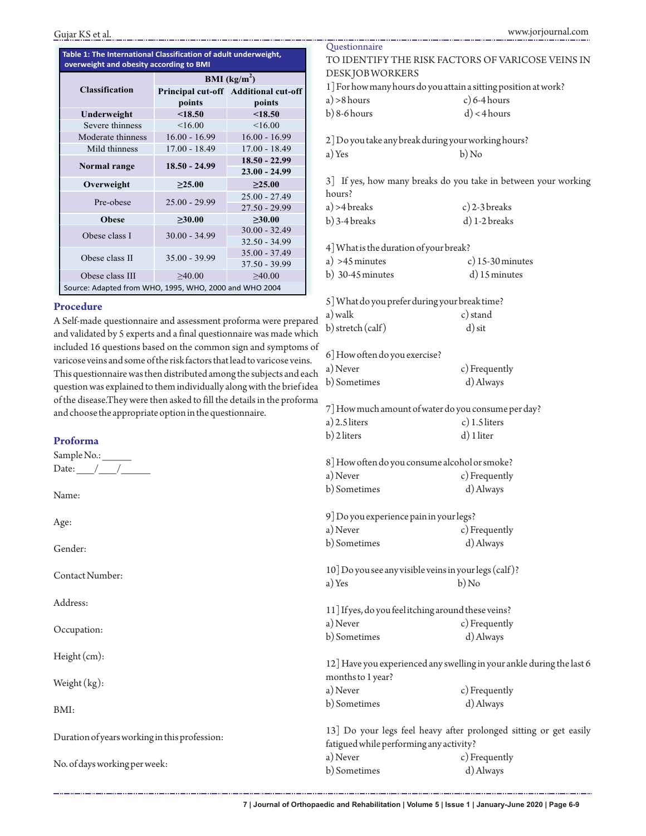| Table 1: The International Classification of adult underweight,<br>overweight and obesity according to BMI |                        |                                        |
|------------------------------------------------------------------------------------------------------------|------------------------|----------------------------------------|
|                                                                                                            | <b>BMI</b> ( $kg/m2$ ) |                                        |
| <b>Classification</b>                                                                                      |                        | Principal cut-off   Additional cut-off |
|                                                                                                            | points                 | points                                 |
| Underweight                                                                                                | < 18.50                | < 18.50                                |
| Severe thinness                                                                                            | < 16.00                | < 16.00                                |
| Moderate thinness                                                                                          | $16.00 - 16.99$        | $16.00 - 16.99$                        |
| Mild thinness                                                                                              | $17.00 - 18.49$        | $17.00 - 18.49$                        |
|                                                                                                            | $18.50 - 24.99$        | $18.50 - 22.99$                        |
| Normal range                                                                                               |                        | $23.00 - 24.99$                        |
| Overweight                                                                                                 | $\geq$ 25.00           | $\geq$ 25.00                           |
| Pre-obese                                                                                                  | $25.00 - 29.99$        | $25.00 - 27.49$                        |
|                                                                                                            |                        | 27.50 - 29.99                          |
| <b>Obese</b>                                                                                               | >30.00                 | $\geq 30.00$                           |
| Obese class I                                                                                              | $30.00 - 34.99$        | $30.00 - 32.49$                        |
|                                                                                                            |                        | $32.50 - 34.99$                        |
| Obese class II                                                                                             | $35.00 - 39.99$        | $35.00 - 37.49$                        |
|                                                                                                            |                        | $37.50 - 39.99$                        |
| Obese class III                                                                                            | >40.00                 | >40.00                                 |
| Source: Adapted from WHO, 1995, WHO, 2000 and WHO 2004                                                     |                        |                                        |

# **Procedure**

A Self-made questionnaire and assessment proforma were prepared and validated by 5 experts and a final questionnaire was made which included 16 questions based on the common sign and symptoms of varicose veins and some of the risk factors that lead to varicose veins. This questionnaire was then distributed among the subjects and each question was explained to them individually along with the brief idea of the disease.They were then asked to fill the details in the proforma and choose the appropriate option in the questionnaire.

#### **Proforma**

Sample No.: \_\_\_\_\_ Date:  $\frac{1}{2}$  /

Name:

Age:

Gender:

Contact Number:

Address:

Occupation:

Height (cm):

Weight (kg):

BMI:

Duration of years working in this profession:

No. of days working per week:

| <b>Questionnaire</b>                                            |                                                   |
|-----------------------------------------------------------------|---------------------------------------------------|
|                                                                 | TO IDENTIFY THE RISK FACTORS OF VARICOSE VEINS IN |
| DESKJOB WORKERS                                                 |                                                   |
| 1] For how many hours do you attain a sitting position at work? |                                                   |
| $a) > 8$ hours                                                  | c) $6-4$ hours                                    |

| $u/r$ onouro   | $\mathbf{v}$ , $\mathbf{v}$ and $\mathbf{u}$ |
|----------------|----------------------------------------------|
| $b)$ 8-6 hours | $d$ < 4 hours                                |

|        | 2] Do you take any break during your working hours? |
|--------|-----------------------------------------------------|
| a) Yes | $b)$ No                                             |

3] If yes, how many breaks do you take in between your working hours?

| a) >4 breaks  | c) 2-3 breaks   |
|---------------|-----------------|
| b) 3-4 breaks | $d)$ 1-2 breaks |

4] What is the duration of your break?

a)  $>45$  minutes c) 15-30 minutes b) 30-45 minutes d) 15 minutes

5] What do you prefer during your break time?

a) walk c) stand b) stretch (calf) d) sit

| 6 How often do you exercise? |               |
|------------------------------|---------------|
| a) Never                     | c) Frequently |
| b) Sometimes                 | d) Always     |

7] How much amount of water do you consume per day?

| a) $2.5$ liters | c) $1.5$ liters |
|-----------------|-----------------|
| b) 2 liters     | d) 1 liter      |

8] How often do you consume alcohol or smoke? a) Never c) Frequently

b) Sometimes d) Always

9] Do you experience pain in your legs? a) Never c) Frequently b) Sometimes d) Always

10] Do you see any visible veins in your legs (calf)? a) Yes b) No

11] If yes, do you feel itching around these veins? a) Never c) Frequently b) Sometimes d) Always

12] Have you experienced any swelling in your ankle during the last 6 months to 1 year? a) Never c) Frequently

b) Sometimes d) Always

13] Do your legs feel heavy after prolonged sitting or get easily fatigued while performing any activity? a) Never c) Frequently b) Sometimes d) Always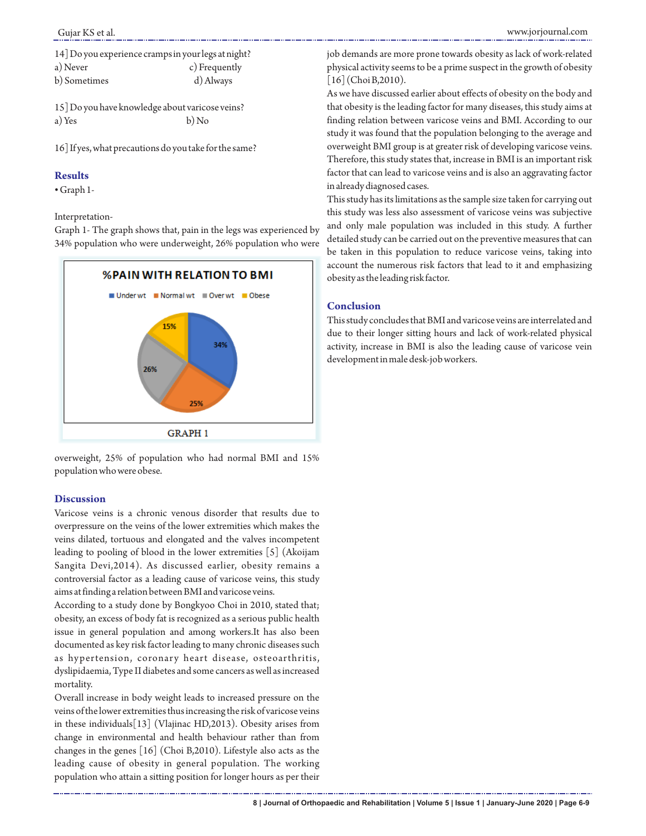| 14 Do you experience cramps in your legs at night? |               |
|----------------------------------------------------|---------------|
| a) Never                                           | c) Frequently |
| b) Sometimes                                       | d) Always     |

15] Do you have knowledge about varicose veins? a) Yes b) No

16] If yes, what precautions do you take for the same?

## **Results**

 $\cdot$  Graph 1-

Interpretation-

Graph 1- The graph shows that, pain in the legs was experienced by 34% population who were underweight, 26% population who were



overweight, 25% of population who had normal BMI and 15% population who were obese.

## **Discussion**

Varicose veins is a chronic venous disorder that results due to overpressure on the veins of the lower extremities which makes the veins dilated, tortuous and elongated and the valves incompetent leading to pooling of blood in the lower extremities [5] (Akoijam Sangita Devi,2014). As discussed earlier, obesity remains a controversial factor as a leading cause of varicose veins, this study aims at finding a relation between BMI and varicose veins.

According to a study done by Bongkyoo Choi in 2010, stated that; obesity, an excess of body fat is recognized as a serious public health issue in general population and among workers.It has also been documented as key risk factor leading to many chronic diseases such as hypertension, coronary heart disease, osteoarthritis, dyslipidaemia, Type II diabetes and some cancers as well as increased mortality.

Overall increase in body weight leads to increased pressure on the veins of the lower extremities thus increasing the risk of varicose veins in these individuals[13] (Vlajinac HD,2013). Obesity arises from change in environmental and health behaviour rather than from changes in the genes [16] (Choi B,2010). Lifestyle also acts as the leading cause of obesity in general population. The working population who attain a sitting position for longer hours as per their

job demands are more prone towards obesity as lack of work-related physical activity seems to be a prime suspect in the growth of obesity [16] (Choi B,2010).

As we have discussed earlier about effects of obesity on the body and that obesity is the leading factor for many diseases, this study aims at finding relation between varicose veins and BMI. According to our study it was found that the population belonging to the average and overweight BMI group is at greater risk of developing varicose veins. Therefore, this study states that, increase in BMI is an important risk factor that can lead to varicose veins and is also an aggravating factor in already diagnosed cases.

This study has its limitations as the sample size taken for carrying out this study was less also assessment of varicose veins was subjective and only male population was included in this study. A further detailed study can be carried out on the preventive measures that can be taken in this population to reduce varicose veins, taking into account the numerous risk factors that lead to it and emphasizing obesity as the leading risk factor.

# **Conclusion**

This study concludes that BMI and varicose veins are interrelated and due to their longer sitting hours and lack of work-related physical activity, increase in BMI is also the leading cause of varicose vein development in male desk-job workers.